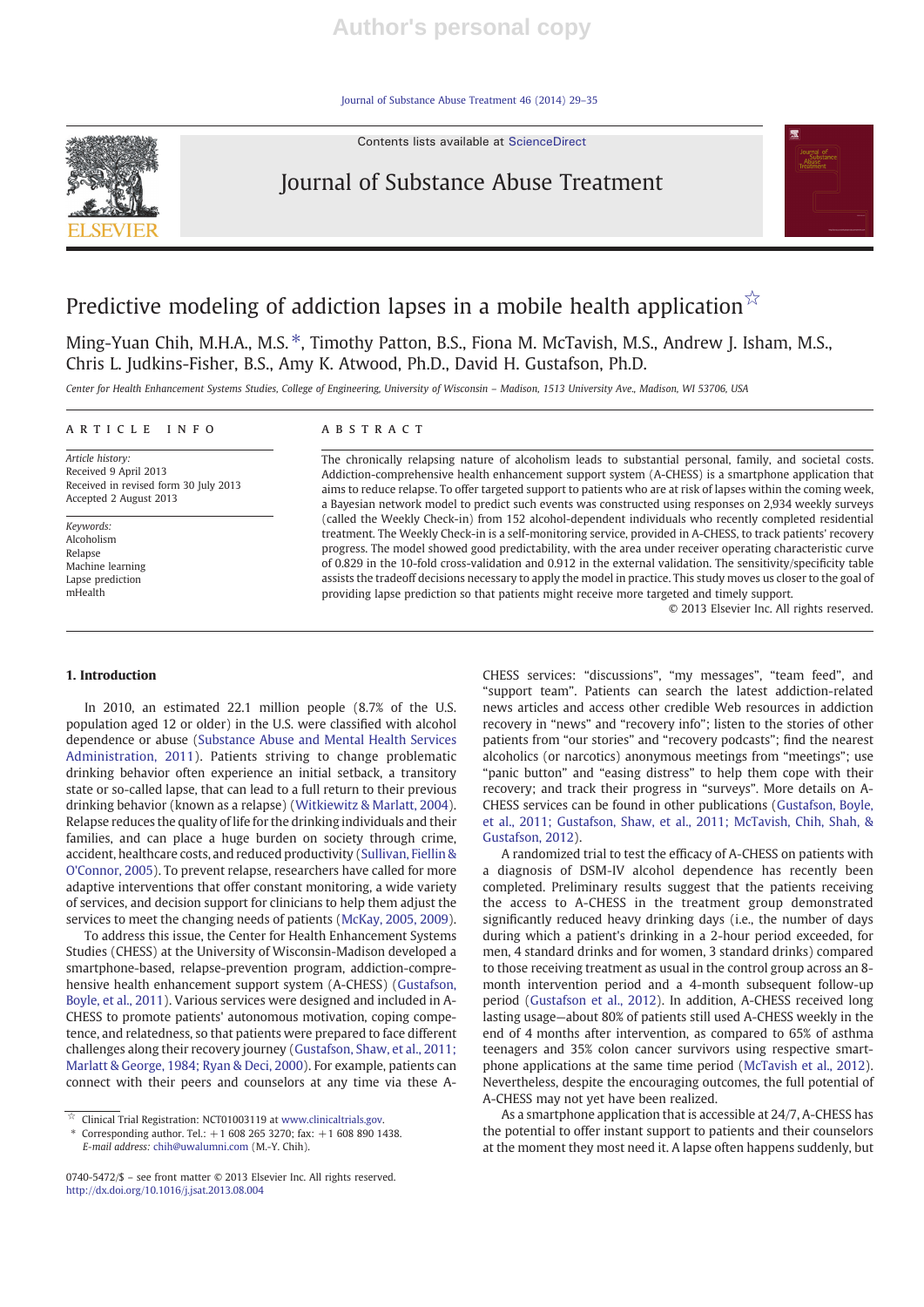Journal of Substance Abuse Treatment 46 (2014) 29–35

Contents lists available at ScienceDirect



## Journal of Substance Abuse Treatment

# Predictive modeling of addiction lapses in a mobile health application  $\hat{\mathbb{X}}$

Ming-Yuan Chih, M.H.A., M.S.<sup>\*</sup>, Timothy Patton, B.S., Fiona M. McTavish, M.S., Andrew J. Isham, M.S., Chris L. Judkins-Fisher, B.S., Amy K. Atwood, Ph.D., David H. Gustafson, Ph.D.

Center for Health Enhancement Systems Studies, College of Engineering, University of Wisconsin – Madison, 1513 University Ave., Madison, WI 53706, USA

#### article info abstract

Article history: Received 9 April 2013 Received in revised form 30 July 2013 Accepted 2 August 2013

Keywords: Alcoholism Relapse Machine learning Lapse prediction mHealth

The chronically relapsing nature of alcoholism leads to substantial personal, family, and societal costs. Addiction-comprehensive health enhancement support system (A-CHESS) is a smartphone application that aims to reduce relapse. To offer targeted support to patients who are at risk of lapses within the coming week, a Bayesian network model to predict such events was constructed using responses on 2,934 weekly surveys (called the Weekly Check-in) from 152 alcohol-dependent individuals who recently completed residential treatment. The Weekly Check-in is a self-monitoring service, provided in A-CHESS, to track patients' recovery progress. The model showed good predictability, with the area under receiver operating characteristic curve of 0.829 in the 10-fold cross-validation and 0.912 in the external validation. The sensitivity/specificity table assists the tradeoff decisions necessary to apply the model in practice. This study moves us closer to the goal of providing lapse prediction so that patients might receive more targeted and timely support.

© 2013 Elsevier Inc. All rights reserved.

#### 1. Introduction

In 2010, an estimated 22.1 million people (8.7% of the U.S. population aged 12 or older) in the U.S. were classified with alcohol dependence or abuse (Substance Abuse and Mental Health Services Administration, 2011). Patients striving to change problematic drinking behavior often experience an initial setback, a transitory state or so-called lapse, that can lead to a full return to their previous drinking behavior (known as a relapse) (Witkiewitz & Marlatt, 2004). Relapse reduces the quality of life for the drinking individuals and their families, and can place a huge burden on society through crime, accident, healthcare costs, and reduced productivity (Sullivan, Fiellin & O'Connor, 2005). To prevent relapse, researchers have called for more adaptive interventions that offer constant monitoring, a wide variety of services, and decision support for clinicians to help them adjust the services to meet the changing needs of patients (McKay, 2005, 2009).

To address this issue, the Center for Health Enhancement Systems Studies (CHESS) at the University of Wisconsin-Madison developed a smartphone-based, relapse-prevention program, addiction-comprehensive health enhancement support system (A-CHESS) (Gustafson, Boyle, et al., 2011). Various services were designed and included in A-CHESS to promote patients' autonomous motivation, coping competence, and relatedness, so that patients were prepared to face different challenges along their recovery journey (Gustafson, Shaw, et al., 2011; Marlatt & George, 1984; Ryan & Deci, 2000). For example, patients can connect with their peers and counselors at any time via these A-

 $\overrightarrow{X}$  Clinical Trial Registration: NCT01003119 at www.clinicaltrials.gov.

⁎ Corresponding author. Tel.: +1 608 265 3270; fax: +1 608 890 1438. E-mail address: chih@uwalumni.com (M.-Y. Chih).

CHESS services: "discussions", "my messages", "team feed", and "support team". Patients can search the latest addiction-related news articles and access other credible Web resources in addiction recovery in "news" and "recovery info"; listen to the stories of other patients from "our stories" and "recovery podcasts"; find the nearest alcoholics (or narcotics) anonymous meetings from "meetings"; use "panic button" and "easing distress" to help them cope with their recovery; and track their progress in "surveys". More details on A-CHESS services can be found in other publications (Gustafson, Boyle, et al., 2011; Gustafson, Shaw, et al., 2011; McTavish, Chih, Shah, & Gustafson, 2012).

A randomized trial to test the efficacy of A-CHESS on patients with a diagnosis of DSM-IV alcohol dependence has recently been completed. Preliminary results suggest that the patients receiving the access to A-CHESS in the treatment group demonstrated significantly reduced heavy drinking days (i.e., the number of days during which a patient's drinking in a 2-hour period exceeded, for men, 4 standard drinks and for women, 3 standard drinks) compared to those receiving treatment as usual in the control group across an 8 month intervention period and a 4-month subsequent follow-up period (Gustafson et al., 2012). In addition, A-CHESS received long lasting usage—about 80% of patients still used A-CHESS weekly in the end of 4 months after intervention, as compared to 65% of asthma teenagers and 35% colon cancer survivors using respective smartphone applications at the same time period (McTavish et al., 2012). Nevertheless, despite the encouraging outcomes, the full potential of A-CHESS may not yet have been realized.

As a smartphone application that is accessible at 24/7, A-CHESS has the potential to offer instant support to patients and their counselors at the moment they most need it. A lapse often happens suddenly, but

<sup>0740-5472/\$</sup> – see front matter © 2013 Elsevier Inc. All rights reserved. http://dx.doi.org/10.1016/j.jsat.2013.08.004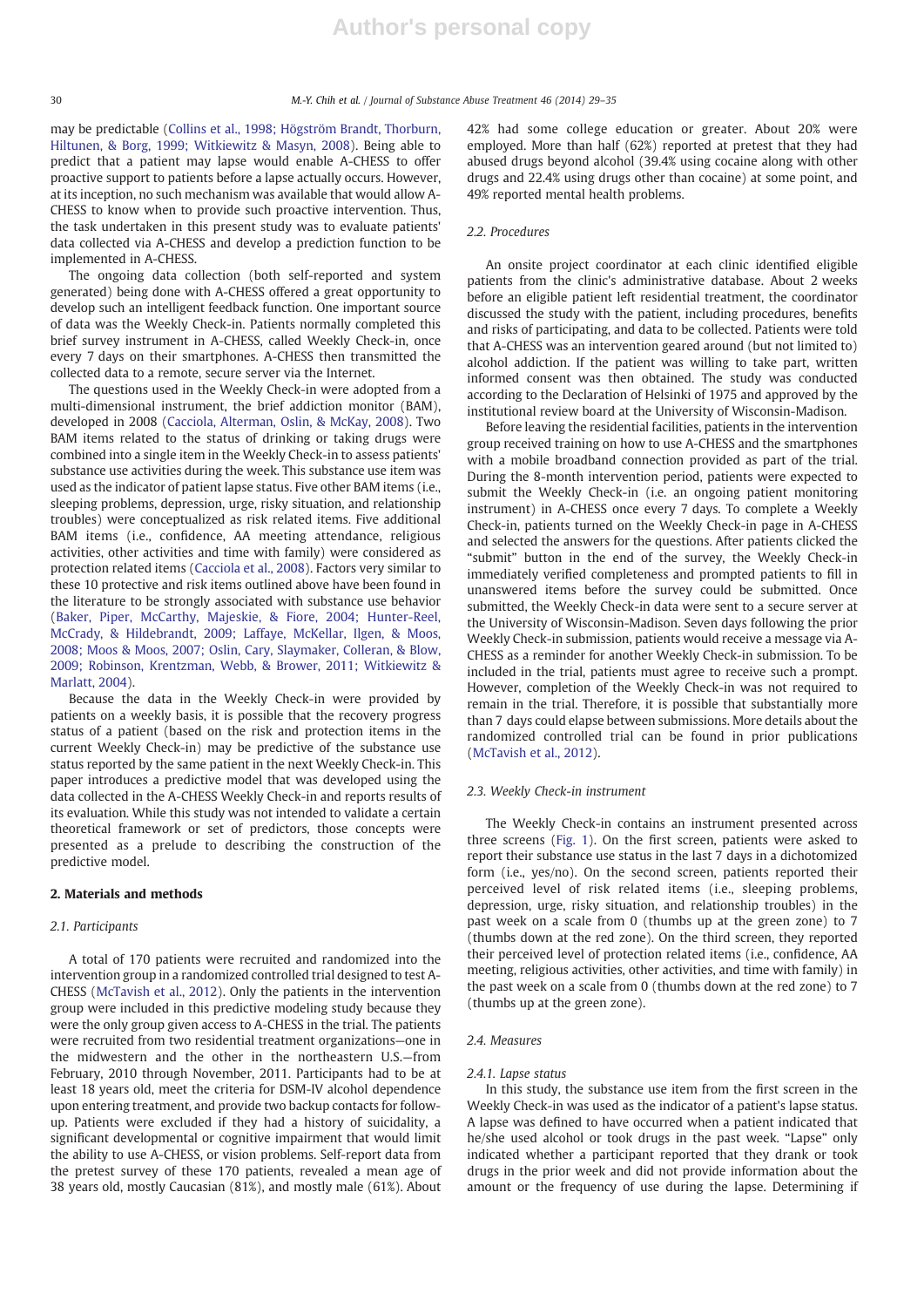may be predictable (Collins et al., 1998; Högström Brandt, Thorburn, Hiltunen, & Borg, 1999; Witkiewitz & Masyn, 2008). Being able to predict that a patient may lapse would enable A-CHESS to offer proactive support to patients before a lapse actually occurs. However, at its inception, no such mechanism was available that would allow A-CHESS to know when to provide such proactive intervention. Thus, the task undertaken in this present study was to evaluate patients' data collected via A-CHESS and develop a prediction function to be implemented in A-CHESS.

The ongoing data collection (both self-reported and system generated) being done with A-CHESS offered a great opportunity to develop such an intelligent feedback function. One important source of data was the Weekly Check-in. Patients normally completed this brief survey instrument in A-CHESS, called Weekly Check-in, once every 7 days on their smartphones. A-CHESS then transmitted the collected data to a remote, secure server via the Internet.

The questions used in the Weekly Check-in were adopted from a multi-dimensional instrument, the brief addiction monitor (BAM), developed in 2008 (Cacciola, Alterman, Oslin, & McKay, 2008). Two BAM items related to the status of drinking or taking drugs were combined into a single item in the Weekly Check-in to assess patients' substance use activities during the week. This substance use item was used as the indicator of patient lapse status. Five other BAM items (i.e., sleeping problems, depression, urge, risky situation, and relationship troubles) were conceptualized as risk related items. Five additional BAM items (i.e., confidence, AA meeting attendance, religious activities, other activities and time with family) were considered as protection related items (Cacciola et al., 2008). Factors very similar to these 10 protective and risk items outlined above have been found in the literature to be strongly associated with substance use behavior (Baker, Piper, McCarthy, Majeskie, & Fiore, 2004; Hunter-Reel, McCrady, & Hildebrandt, 2009; Laffaye, McKellar, Ilgen, & Moos, 2008; Moos & Moos, 2007; Oslin, Cary, Slaymaker, Colleran, & Blow, 2009; Robinson, Krentzman, Webb, & Brower, 2011; Witkiewitz & Marlatt, 2004).

Because the data in the Weekly Check-in were provided by patients on a weekly basis, it is possible that the recovery progress status of a patient (based on the risk and protection items in the current Weekly Check-in) may be predictive of the substance use status reported by the same patient in the next Weekly Check-in. This paper introduces a predictive model that was developed using the data collected in the A-CHESS Weekly Check-in and reports results of its evaluation. While this study was not intended to validate a certain theoretical framework or set of predictors, those concepts were presented as a prelude to describing the construction of the predictive model.

#### 2. Materials and methods

#### 2.1. Participants

A total of 170 patients were recruited and randomized into the intervention group in a randomized controlled trial designed to test A-CHESS (McTavish et al., 2012). Only the patients in the intervention group were included in this predictive modeling study because they were the only group given access to A-CHESS in the trial. The patients were recruited from two residential treatment organizations—one in the midwestern and the other in the northeastern U.S.—from February, 2010 through November, 2011. Participants had to be at least 18 years old, meet the criteria for DSM-IV alcohol dependence upon entering treatment, and provide two backup contacts for followup. Patients were excluded if they had a history of suicidality, a significant developmental or cognitive impairment that would limit the ability to use A-CHESS, or vision problems. Self-report data from the pretest survey of these 170 patients, revealed a mean age of 38 years old, mostly Caucasian (81%), and mostly male (61%). About

42% had some college education or greater. About 20% were employed. More than half (62%) reported at pretest that they had abused drugs beyond alcohol (39.4% using cocaine along with other drugs and 22.4% using drugs other than cocaine) at some point, and 49% reported mental health problems.

#### 2.2. Procedures

An onsite project coordinator at each clinic identified eligible patients from the clinic's administrative database. About 2 weeks before an eligible patient left residential treatment, the coordinator discussed the study with the patient, including procedures, benefits and risks of participating, and data to be collected. Patients were told that A-CHESS was an intervention geared around (but not limited to) alcohol addiction. If the patient was willing to take part, written informed consent was then obtained. The study was conducted according to the Declaration of Helsinki of 1975 and approved by the institutional review board at the University of Wisconsin-Madison.

Before leaving the residential facilities, patients in the intervention group received training on how to use A-CHESS and the smartphones with a mobile broadband connection provided as part of the trial. During the 8-month intervention period, patients were expected to submit the Weekly Check-in (i.e. an ongoing patient monitoring instrument) in A-CHESS once every 7 days. To complete a Weekly Check-in, patients turned on the Weekly Check-in page in A-CHESS and selected the answers for the questions. After patients clicked the "submit" button in the end of the survey, the Weekly Check-in immediately verified completeness and prompted patients to fill in unanswered items before the survey could be submitted. Once submitted, the Weekly Check-in data were sent to a secure server at the University of Wisconsin-Madison. Seven days following the prior Weekly Check-in submission, patients would receive a message via A-CHESS as a reminder for another Weekly Check-in submission. To be included in the trial, patients must agree to receive such a prompt. However, completion of the Weekly Check-in was not required to remain in the trial. Therefore, it is possible that substantially more than 7 days could elapse between submissions. More details about the randomized controlled trial can be found in prior publications (McTavish et al., 2012).

#### 2.3. Weekly Check-in instrument

The Weekly Check-in contains an instrument presented across three screens (Fig. 1). On the first screen, patients were asked to report their substance use status in the last 7 days in a dichotomized form (i.e., yes/no). On the second screen, patients reported their perceived level of risk related items (i.e., sleeping problems, depression, urge, risky situation, and relationship troubles) in the past week on a scale from 0 (thumbs up at the green zone) to 7 (thumbs down at the red zone). On the third screen, they reported their perceived level of protection related items (i.e., confidence, AA meeting, religious activities, other activities, and time with family) in the past week on a scale from 0 (thumbs down at the red zone) to 7 (thumbs up at the green zone).

#### 2.4. Measures

#### 2.4.1. Lapse status

In this study, the substance use item from the first screen in the Weekly Check-in was used as the indicator of a patient's lapse status. A lapse was defined to have occurred when a patient indicated that he/she used alcohol or took drugs in the past week. "Lapse" only indicated whether a participant reported that they drank or took drugs in the prior week and did not provide information about the amount or the frequency of use during the lapse. Determining if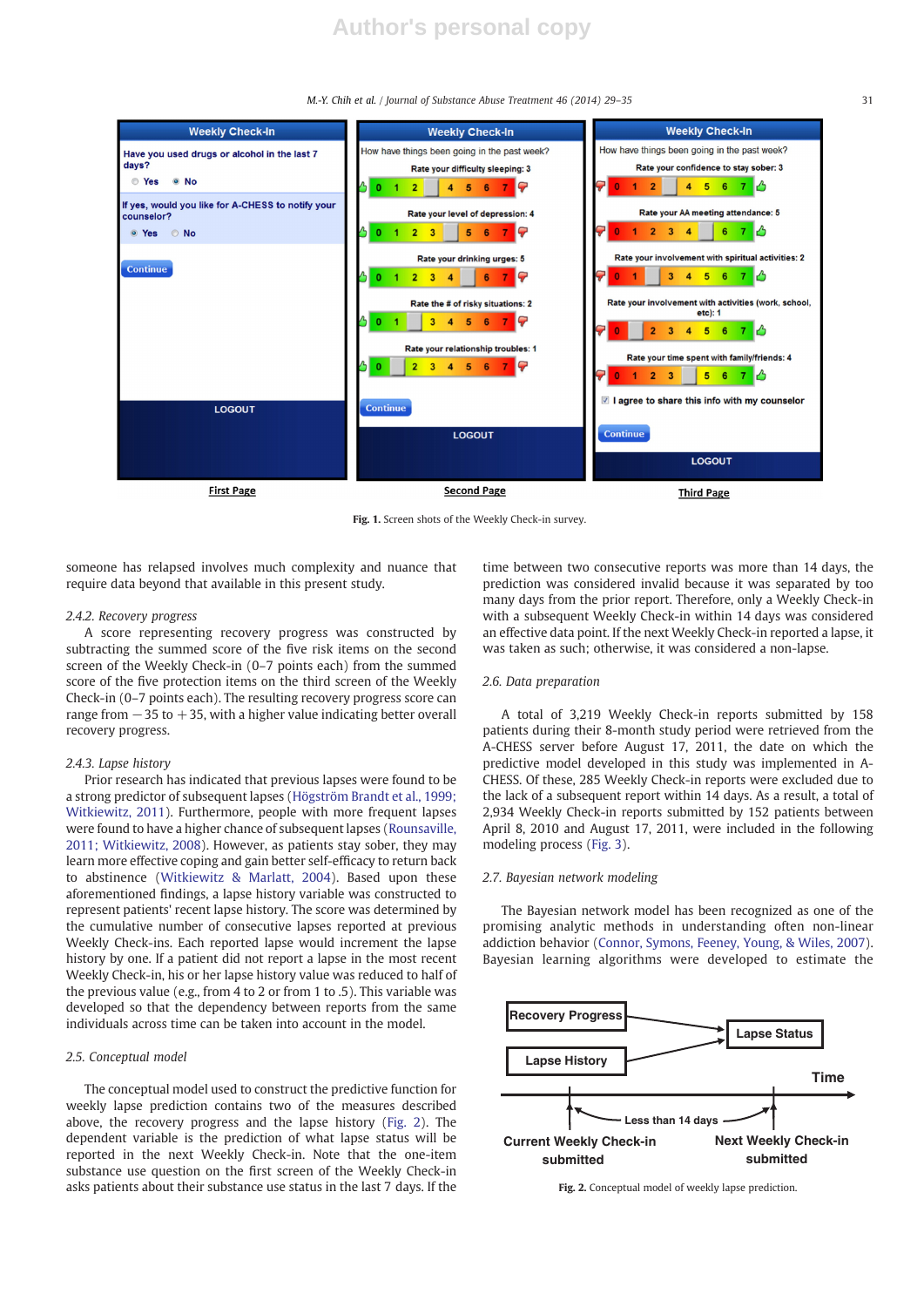#### M.-Y. Chih et al. / Journal of Substance Abuse Treatment 46 (2014) 29–35 31



Fig. 1. Screen shots of the Weekly Check-in survey.

someone has relapsed involves much complexity and nuance that require data beyond that available in this present study.

#### 2.4.2. Recovery progress

A score representing recovery progress was constructed by subtracting the summed score of the five risk items on the second screen of the Weekly Check-in (0–7 points each) from the summed score of the five protection items on the third screen of the Weekly Check-in (0–7 points each). The resulting recovery progress score can range from  $-35$  to  $+35$ , with a higher value indicating better overall recovery progress.

### 2.4.3. Lapse history

Prior research has indicated that previous lapses were found to be a strong predictor of subsequent lapses (Högström Brandt et al., 1999; Witkiewitz, 2011). Furthermore, people with more frequent lapses were found to have a higher chance of subsequent lapses (Rounsaville, 2011; Witkiewitz, 2008). However, as patients stay sober, they may learn more effective coping and gain better self-efficacy to return back to abstinence (Witkiewitz & Marlatt, 2004). Based upon these aforementioned findings, a lapse history variable was constructed to represent patients' recent lapse history. The score was determined by the cumulative number of consecutive lapses reported at previous Weekly Check-ins. Each reported lapse would increment the lapse history by one. If a patient did not report a lapse in the most recent Weekly Check-in, his or her lapse history value was reduced to half of the previous value (e.g., from 4 to 2 or from 1 to .5). This variable was developed so that the dependency between reports from the same individuals across time can be taken into account in the model.

#### 2.5. Conceptual model

The conceptual model used to construct the predictive function for weekly lapse prediction contains two of the measures described above, the recovery progress and the lapse history (Fig. 2). The dependent variable is the prediction of what lapse status will be reported in the next Weekly Check-in. Note that the one-item substance use question on the first screen of the Weekly Check-in asks patients about their substance use status in the last 7 days. If the time between two consecutive reports was more than 14 days, the prediction was considered invalid because it was separated by too many days from the prior report. Therefore, only a Weekly Check-in with a subsequent Weekly Check-in within 14 days was considered an effective data point. If the next Weekly Check-in reported a lapse, it was taken as such; otherwise, it was considered a non-lapse.

#### 2.6. Data preparation

A total of 3,219 Weekly Check-in reports submitted by 158 patients during their 8-month study period were retrieved from the A-CHESS server before August 17, 2011, the date on which the predictive model developed in this study was implemented in A-CHESS. Of these, 285 Weekly Check-in reports were excluded due to the lack of a subsequent report within 14 days. As a result, a total of 2,934 Weekly Check-in reports submitted by 152 patients between April 8, 2010 and August 17, 2011, were included in the following modeling process (Fig. 3).

#### 2.7. Bayesian network modeling

The Bayesian network model has been recognized as one of the promising analytic methods in understanding often non-linear addiction behavior (Connor, Symons, Feeney, Young, & Wiles, 2007). Bayesian learning algorithms were developed to estimate the



Fig. 2. Conceptual model of weekly lapse prediction.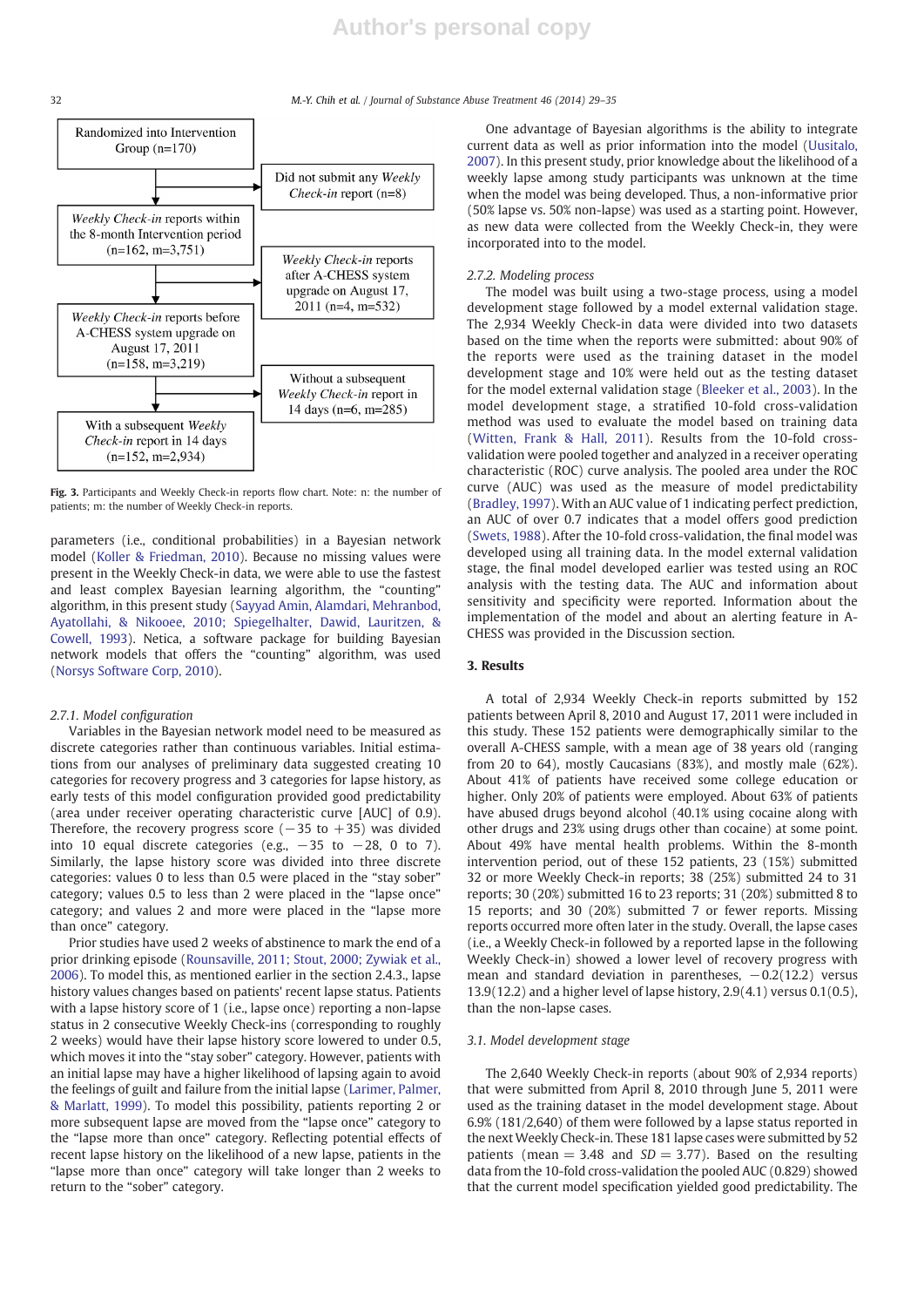32 M.-Y. Chih et al. / Journal of Substance Abuse Treatment 46 (2014) 29–35



Fig. 3. Participants and Weekly Check-in reports flow chart. Note: n: the number of patients; m: the number of Weekly Check-in reports.

parameters (i.e., conditional probabilities) in a Bayesian network model (Koller & Friedman, 2010). Because no missing values were present in the Weekly Check-in data, we were able to use the fastest and least complex Bayesian learning algorithm, the "counting" algorithm, in this present study (Sayyad Amin, Alamdari, Mehranbod, Ayatollahi, & Nikooee, 2010; Spiegelhalter, Dawid, Lauritzen, & Cowell, 1993). Netica, a software package for building Bayesian network models that offers the "counting" algorithm, was used (Norsys Software Corp, 2010).

#### 2.7.1. Model configuration

Variables in the Bayesian network model need to be measured as discrete categories rather than continuous variables. Initial estimations from our analyses of preliminary data suggested creating 10 categories for recovery progress and 3 categories for lapse history, as early tests of this model configuration provided good predictability (area under receiver operating characteristic curve [AUC] of 0.9). Therefore, the recovery progress score  $(-35$  to  $+35)$  was divided into 10 equal discrete categories (e.g.,  $-35$  to  $-28$ , 0 to 7). Similarly, the lapse history score was divided into three discrete categories: values 0 to less than 0.5 were placed in the "stay sober" category; values 0.5 to less than 2 were placed in the "lapse once" category; and values 2 and more were placed in the "lapse more than once" category.

Prior studies have used 2 weeks of abstinence to mark the end of a prior drinking episode (Rounsaville, 2011; Stout, 2000; Zywiak et al., 2006). To model this, as mentioned earlier in the section 2.4.3., lapse history values changes based on patients' recent lapse status. Patients with a lapse history score of 1 (i.e., lapse once) reporting a non-lapse status in 2 consecutive Weekly Check-ins (corresponding to roughly 2 weeks) would have their lapse history score lowered to under 0.5, which moves it into the "stay sober" category. However, patients with an initial lapse may have a higher likelihood of lapsing again to avoid the feelings of guilt and failure from the initial lapse (Larimer, Palmer, & Marlatt, 1999). To model this possibility, patients reporting 2 or more subsequent lapse are moved from the "lapse once" category to the "lapse more than once" category. Reflecting potential effects of recent lapse history on the likelihood of a new lapse, patients in the "lapse more than once" category will take longer than 2 weeks to return to the "sober" category.

One advantage of Bayesian algorithms is the ability to integrate current data as well as prior information into the model (Uusitalo, 2007). In this present study, prior knowledge about the likelihood of a weekly lapse among study participants was unknown at the time when the model was being developed. Thus, a non-informative prior (50% lapse vs. 50% non-lapse) was used as a starting point. However, as new data were collected from the Weekly Check-in, they were incorporated into to the model.

#### 2.7.2. Modeling process

The model was built using a two-stage process, using a model development stage followed by a model external validation stage. The 2,934 Weekly Check-in data were divided into two datasets based on the time when the reports were submitted: about 90% of the reports were used as the training dataset in the model development stage and 10% were held out as the testing dataset for the model external validation stage (Bleeker et al., 2003). In the model development stage, a stratified 10-fold cross-validation method was used to evaluate the model based on training data (Witten, Frank & Hall, 2011). Results from the 10-fold crossvalidation were pooled together and analyzed in a receiver operating characteristic (ROC) curve analysis. The pooled area under the ROC curve (AUC) was used as the measure of model predictability (Bradley, 1997). With an AUC value of 1 indicating perfect prediction, an AUC of over 0.7 indicates that a model offers good prediction (Swets, 1988). After the 10-fold cross-validation, the final model was developed using all training data. In the model external validation stage, the final model developed earlier was tested using an ROC analysis with the testing data. The AUC and information about sensitivity and specificity were reported. Information about the implementation of the model and about an alerting feature in A-CHESS was provided in the Discussion section.

#### 3. Results

A total of 2,934 Weekly Check-in reports submitted by 152 patients between April 8, 2010 and August 17, 2011 were included in this study. These 152 patients were demographically similar to the overall A-CHESS sample, with a mean age of 38 years old (ranging from 20 to 64), mostly Caucasians (83%), and mostly male (62%). About 41% of patients have received some college education or higher. Only 20% of patients were employed. About 63% of patients have abused drugs beyond alcohol (40.1% using cocaine along with other drugs and 23% using drugs other than cocaine) at some point. About 49% have mental health problems. Within the 8-month intervention period, out of these 152 patients, 23 (15%) submitted 32 or more Weekly Check-in reports; 38 (25%) submitted 24 to 31 reports; 30 (20%) submitted 16 to 23 reports; 31 (20%) submitted 8 to 15 reports; and 30 (20%) submitted 7 or fewer reports. Missing reports occurred more often later in the study. Overall, the lapse cases (i.e., a Weekly Check-in followed by a reported lapse in the following Weekly Check-in) showed a lower level of recovery progress with mean and standard deviation in parentheses,  $-0.2(12.2)$  versus 13.9(12.2) and a higher level of lapse history, 2.9(4.1) versus 0.1(0.5), than the non-lapse cases.

#### 3.1. Model development stage

The 2,640 Weekly Check-in reports (about 90% of 2,934 reports) that were submitted from April 8, 2010 through June 5, 2011 were used as the training dataset in the model development stage. About 6.9% (181/2,640) of them were followed by a lapse status reported in the next Weekly Check-in. These 181 lapse cases were submitted by 52 patients (mean  $= 3.48$  and  $SD = 3.77$ ). Based on the resulting data from the 10-fold cross-validation the pooled AUC (0.829) showed that the current model specification yielded good predictability. The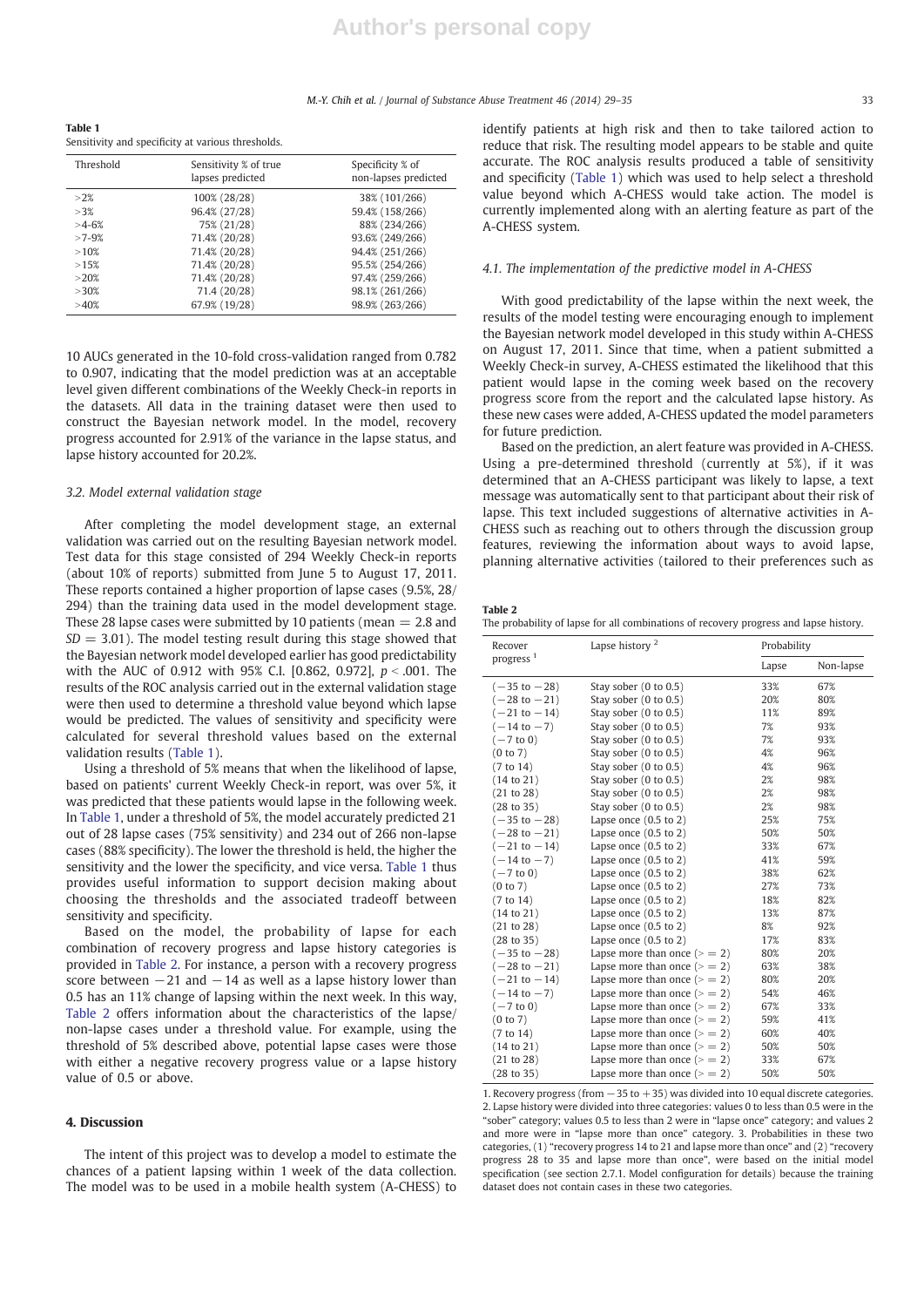Table 1 Sensitivity and specificity at various thresholds.

| Threshold | Sensitivity % of true<br>lapses predicted | Specificity % of<br>non-lapses predicted |
|-----------|-------------------------------------------|------------------------------------------|
| $>2\%$    | 100% (28/28)                              | 38% (101/266)                            |
| >3%       | 96.4% (27/28)                             | 59.4% (158/266)                          |
| $>4-6%$   | 75% (21/28)                               | 88% (234/266)                            |
| $>7-9%$   | 71.4% (20/28)                             | 93.6% (249/266)                          |
| >10%      | 71.4% (20/28)                             | 94.4% (251/266)                          |
| >15%      | 71.4% (20/28)                             | 95.5% (254/266)                          |
| >20%      | 71.4% (20/28)                             | 97.4% (259/266)                          |
| >30%      | 71.4 (20/28)                              | 98.1% (261/266)                          |
| >40%      | 67.9% (19/28)                             | 98.9% (263/266)                          |
|           |                                           |                                          |

10 AUCs generated in the 10-fold cross-validation ranged from 0.782 to 0.907, indicating that the model prediction was at an acceptable level given different combinations of the Weekly Check-in reports in the datasets. All data in the training dataset were then used to construct the Bayesian network model. In the model, recovery progress accounted for 2.91% of the variance in the lapse status, and lapse history accounted for 20.2%.

#### 3.2. Model external validation stage

After completing the model development stage, an external validation was carried out on the resulting Bayesian network model. Test data for this stage consisted of 294 Weekly Check-in reports (about 10% of reports) submitted from June 5 to August 17, 2011. These reports contained a higher proportion of lapse cases (9.5%, 28/ 294) than the training data used in the model development stage. These 28 lapse cases were submitted by 10 patients (mean  $= 2.8$  and  $SD = 3.01$ ). The model testing result during this stage showed that the Bayesian network model developed earlier has good predictability with the AUC of 0.912 with 95% C.I. [0.862, 0.972],  $p < .001$ . The results of the ROC analysis carried out in the external validation stage were then used to determine a threshold value beyond which lapse would be predicted. The values of sensitivity and specificity were calculated for several threshold values based on the external validation results (Table 1).

Using a threshold of 5% means that when the likelihood of lapse, based on patients' current Weekly Check-in report, was over 5%, it was predicted that these patients would lapse in the following week. In Table 1, under a threshold of 5%, the model accurately predicted 21 out of 28 lapse cases (75% sensitivity) and 234 out of 266 non-lapse cases (88% specificity). The lower the threshold is held, the higher the sensitivity and the lower the specificity, and vice versa. Table 1 thus provides useful information to support decision making about choosing the thresholds and the associated tradeoff between sensitivity and specificity.

Based on the model, the probability of lapse for each combination of recovery progress and lapse history categories is provided in Table 2. For instance, a person with a recovery progress score between  $-21$  and  $-14$  as well as a lapse history lower than 0.5 has an 11% change of lapsing within the next week. In this way, Table 2 offers information about the characteristics of the lapse/ non-lapse cases under a threshold value. For example, using the threshold of 5% described above, potential lapse cases were those with either a negative recovery progress value or a lapse history value of 0.5 or above.

#### 4. Discussion

The intent of this project was to develop a model to estimate the chances of a patient lapsing within 1 week of the data collection. The model was to be used in a mobile health system (A-CHESS) to

identify patients at high risk and then to take tailored action to reduce that risk. The resulting model appears to be stable and quite accurate. The ROC analysis results produced a table of sensitivity and specificity (Table 1) which was used to help select a threshold value beyond which A-CHESS would take action. The model is currently implemented along with an alerting feature as part of the A-CHESS system.

#### 4.1. The implementation of the predictive model in A-CHESS

With good predictability of the lapse within the next week, the results of the model testing were encouraging enough to implement the Bayesian network model developed in this study within A-CHESS on August 17, 2011. Since that time, when a patient submitted a Weekly Check-in survey, A-CHESS estimated the likelihood that this patient would lapse in the coming week based on the recovery progress score from the report and the calculated lapse history. As these new cases were added, A-CHESS updated the model parameters for future prediction.

Based on the prediction, an alert feature was provided in A-CHESS. Using a pre-determined threshold (currently at 5%), if it was determined that an A-CHESS participant was likely to lapse, a text message was automatically sent to that participant about their risk of lapse. This text included suggestions of alternative activities in A-CHESS such as reaching out to others through the discussion group features, reviewing the information about ways to avoid lapse, planning alternative activities (tailored to their preferences such as

Table 2

The probability of lapse for all combinations of recovery progress and lapse history.

| Recover                 | Lapse history <sup>2</sup>       | Probability |           |
|-------------------------|----------------------------------|-------------|-----------|
| progress <sup>1</sup>   |                                  | Lapse       | Non-lapse |
| $(-35 to -28)$          | Stay sober $(0 \text{ to } 0.5)$ | 33%         | 67%       |
| $(-28 \text{ to } -21)$ | Stay sober $(0 \text{ to } 0.5)$ | 20%         | 80%       |
| $(-21 to -14)$          | Stay sober (0 to 0.5)            | 11%         | 89%       |
| $(-14 to -7)$           | Stay sober $(0 \text{ to } 0.5)$ | 7%          | 93%       |
| $(-7 to 0)$             | Stay sober $(0 \text{ to } 0.5)$ | 7%          | 93%       |
| (0 to 7)                | Stay sober $(0 \text{ to } 0.5)$ | 4%          | 96%       |
| $(7 \text{ to } 14)$    | Stay sober $(0 \text{ to } 0.5)$ | 4%          | 96%       |
| (14 to 21)              | Stay sober $(0 \text{ to } 0.5)$ | 2%          | 98%       |
| (21 to 28)              | Stay sober $(0 \text{ to } 0.5)$ | 2%          | 98%       |
| (28 to 35)              | Stay sober $(0 \text{ to } 0.5)$ | 2%          | 98%       |
| $(-35 \text{ to } -28)$ | Lapse once $(0.5 \text{ to } 2)$ | 25%         | 75%       |
| $(-28 \text{ to } -21)$ | Lapse once $(0.5 \text{ to } 2)$ | 50%         | 50%       |
| $(-21 to -14)$          | Lapse once $(0.5 \text{ to } 2)$ | 33%         | 67%       |
| $(-14 to -7)$           | Lapse once $(0.5 \text{ to } 2)$ | 41%         | 59%       |
| $(-7 to 0)$             | Lapse once $(0.5 \text{ to } 2)$ | 38%         | 62%       |
| (0 to 7)                | Lapse once $(0.5 \text{ to } 2)$ | 27%         | 73%       |
| $(7 \text{ to } 14)$    | Lapse once $(0.5 \text{ to } 2)$ | 18%         | 82%       |
| (14 to 21)              | Lapse once $(0.5 \text{ to } 2)$ | 13%         | 87%       |
| (21 to 28)              | Lapse once $(0.5 \text{ to } 2)$ | 8%          | 92%       |
| (28 to 35)              | Lapse once $(0.5 \text{ to } 2)$ | 17%         | 83%       |
| $(-35$ to $-28)$        | Lapse more than once $(>= 2)$    | 80%         | 20%       |
| $(-28 \text{ to } -21)$ | Lapse more than once $(>= 2)$    | 63%         | 38%       |
| $(-21 to -14)$          | Lapse more than once $(>= 2)$    | 80%         | 20%       |
| $(-14 to -7)$           | Lapse more than once $(>= 2)$    | 54%         | 46%       |
| $(-7 to 0)$             | Lapse more than once $(>= 2)$    | 67%         | 33%       |
| (0 to 7)                | Lapse more than once $(>= 2)$    | 59%         | 41%       |
| $(7 \text{ to } 14)$    | Lapse more than once $(>= 2)$    | 60%         | 40%       |
| (14 to 21)              | Lapse more than once $(>= 2)$    | 50%         | 50%       |
| (21 to 28)              | Lapse more than once $(>= 2)$    | 33%         | 67%       |
| (28 to 35)              | Lapse more than once $(>= 2)$    | 50%         | 50%       |

1. Recovery progress (from −35 to +35) was divided into 10 equal discrete categories. 2. Lapse history were divided into three categories: values 0 to less than 0.5 were in the "sober" category; values 0.5 to less than 2 were in "lapse once" category; and values 2 and more were in "lapse more than once" category. 3. Probabilities in these two categories, (1) "recovery progress 14 to 21 and lapse more than once" and (2) "recovery progress 28 to 35 and lapse more than once", were based on the initial model specification (see section 2.7.1. Model configuration for details) because the training dataset does not contain cases in these two categories.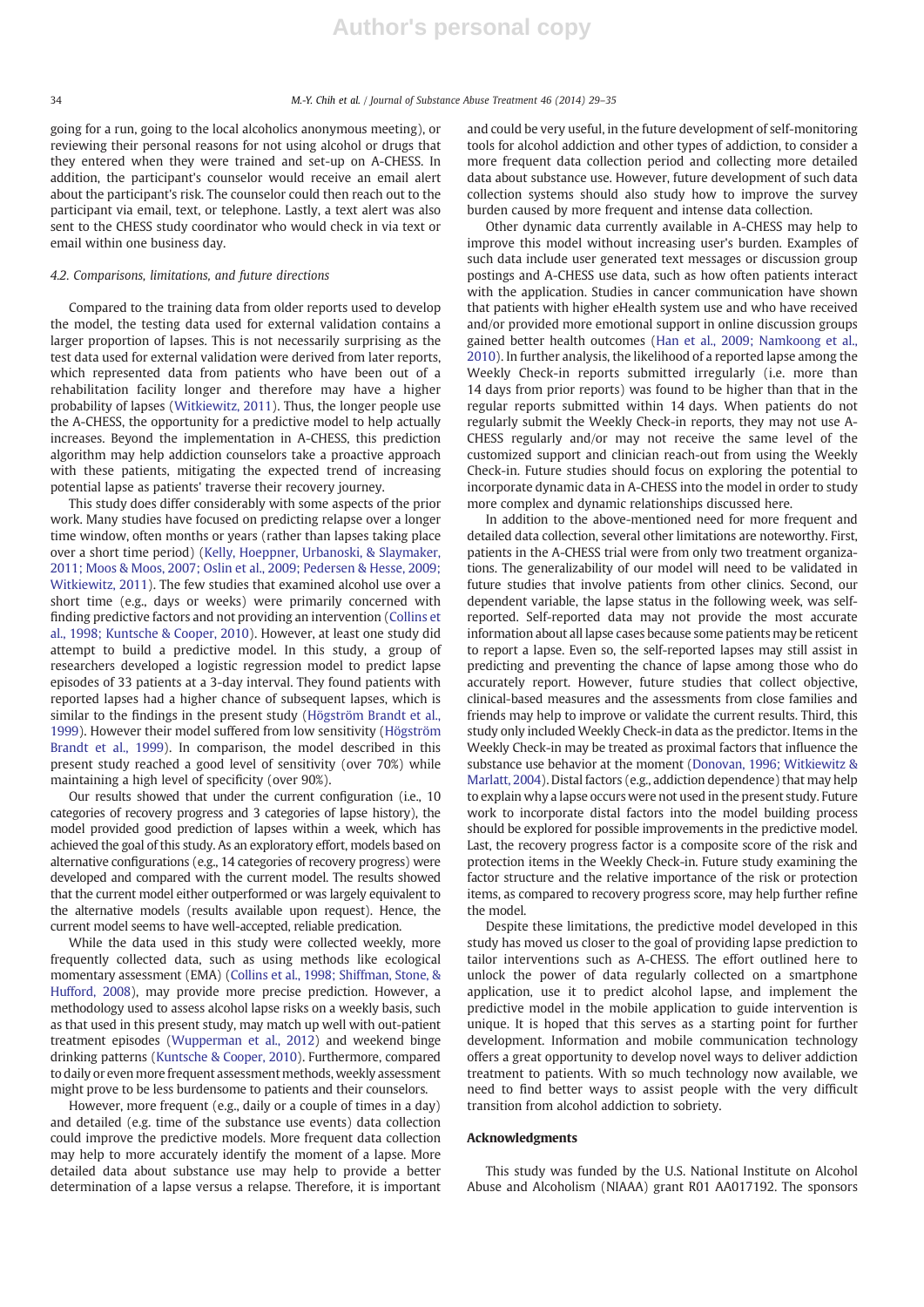going for a run, going to the local alcoholics anonymous meeting), or reviewing their personal reasons for not using alcohol or drugs that they entered when they were trained and set-up on A-CHESS. In addition, the participant's counselor would receive an email alert about the participant's risk. The counselor could then reach out to the participant via email, text, or telephone. Lastly, a text alert was also sent to the CHESS study coordinator who would check in via text or email within one business day.

#### 4.2. Comparisons, limitations, and future directions

Compared to the training data from older reports used to develop the model, the testing data used for external validation contains a larger proportion of lapses. This is not necessarily surprising as the test data used for external validation were derived from later reports, which represented data from patients who have been out of a rehabilitation facility longer and therefore may have a higher probability of lapses (Witkiewitz, 2011). Thus, the longer people use the A-CHESS, the opportunity for a predictive model to help actually increases. Beyond the implementation in A-CHESS, this prediction algorithm may help addiction counselors take a proactive approach with these patients, mitigating the expected trend of increasing potential lapse as patients' traverse their recovery journey.

This study does differ considerably with some aspects of the prior work. Many studies have focused on predicting relapse over a longer time window, often months or years (rather than lapses taking place over a short time period) (Kelly, Hoeppner, Urbanoski, & Slaymaker, 2011; Moos & Moos, 2007; Oslin et al., 2009; Pedersen & Hesse, 2009; Witkiewitz, 2011). The few studies that examined alcohol use over a short time (e.g., days or weeks) were primarily concerned with finding predictive factors and not providing an intervention (Collins et al., 1998; Kuntsche & Cooper, 2010). However, at least one study did attempt to build a predictive model. In this study, a group of researchers developed a logistic regression model to predict lapse episodes of 33 patients at a 3-day interval. They found patients with reported lapses had a higher chance of subsequent lapses, which is similar to the findings in the present study (Högström Brandt et al., 1999). However their model suffered from low sensitivity (Högström Brandt et al., 1999). In comparison, the model described in this present study reached a good level of sensitivity (over 70%) while maintaining a high level of specificity (over 90%).

Our results showed that under the current configuration (i.e., 10 categories of recovery progress and 3 categories of lapse history), the model provided good prediction of lapses within a week, which has achieved the goal of this study. As an exploratory effort, models based on alternative configurations (e.g., 14 categories of recovery progress) were developed and compared with the current model. The results showed that the current model either outperformed or was largely equivalent to the alternative models (results available upon request). Hence, the current model seems to have well-accepted, reliable predication.

While the data used in this study were collected weekly, more frequently collected data, such as using methods like ecological momentary assessment (EMA) (Collins et al., 1998; Shiffman, Stone, & Hufford, 2008), may provide more precise prediction. However, a methodology used to assess alcohol lapse risks on a weekly basis, such as that used in this present study, may match up well with out-patient treatment episodes (Wupperman et al., 2012) and weekend binge drinking patterns (Kuntsche & Cooper, 2010). Furthermore, compared to daily or even more frequent assessment methods, weekly assessment might prove to be less burdensome to patients and their counselors.

However, more frequent (e.g., daily or a couple of times in a day) and detailed (e.g. time of the substance use events) data collection could improve the predictive models. More frequent data collection may help to more accurately identify the moment of a lapse. More detailed data about substance use may help to provide a better determination of a lapse versus a relapse. Therefore, it is important

and could be very useful, in the future development of self-monitoring tools for alcohol addiction and other types of addiction, to consider a more frequent data collection period and collecting more detailed data about substance use. However, future development of such data collection systems should also study how to improve the survey burden caused by more frequent and intense data collection.

Other dynamic data currently available in A-CHESS may help to improve this model without increasing user's burden. Examples of such data include user generated text messages or discussion group postings and A-CHESS use data, such as how often patients interact with the application. Studies in cancer communication have shown that patients with higher eHealth system use and who have received and/or provided more emotional support in online discussion groups gained better health outcomes (Han et al., 2009; Namkoong et al., 2010). In further analysis, the likelihood of a reported lapse among the Weekly Check-in reports submitted irregularly (i.e. more than 14 days from prior reports) was found to be higher than that in the regular reports submitted within 14 days. When patients do not regularly submit the Weekly Check-in reports, they may not use A-CHESS regularly and/or may not receive the same level of the customized support and clinician reach-out from using the Weekly Check-in. Future studies should focus on exploring the potential to incorporate dynamic data in A-CHESS into the model in order to study more complex and dynamic relationships discussed here.

In addition to the above-mentioned need for more frequent and detailed data collection, several other limitations are noteworthy. First, patients in the A-CHESS trial were from only two treatment organizations. The generalizability of our model will need to be validated in future studies that involve patients from other clinics. Second, our dependent variable, the lapse status in the following week, was selfreported. Self-reported data may not provide the most accurate information about all lapse cases because some patients may be reticent to report a lapse. Even so, the self-reported lapses may still assist in predicting and preventing the chance of lapse among those who do accurately report. However, future studies that collect objective, clinical-based measures and the assessments from close families and friends may help to improve or validate the current results. Third, this study only included Weekly Check-in data as the predictor. Items in the Weekly Check-in may be treated as proximal factors that influence the substance use behavior at the moment (Donovan, 1996; Witkiewitz & Marlatt, 2004). Distal factors (e.g., addiction dependence) that may help to explain why a lapse occurs were not used in the present study. Future work to incorporate distal factors into the model building process should be explored for possible improvements in the predictive model. Last, the recovery progress factor is a composite score of the risk and protection items in the Weekly Check-in. Future study examining the factor structure and the relative importance of the risk or protection items, as compared to recovery progress score, may help further refine the model.

Despite these limitations, the predictive model developed in this study has moved us closer to the goal of providing lapse prediction to tailor interventions such as A-CHESS. The effort outlined here to unlock the power of data regularly collected on a smartphone application, use it to predict alcohol lapse, and implement the predictive model in the mobile application to guide intervention is unique. It is hoped that this serves as a starting point for further development. Information and mobile communication technology offers a great opportunity to develop novel ways to deliver addiction treatment to patients. With so much technology now available, we need to find better ways to assist people with the very difficult transition from alcohol addiction to sobriety.

#### Acknowledgments

This study was funded by the U.S. National Institute on Alcohol Abuse and Alcoholism (NIAAA) grant R01 AA017192. The sponsors